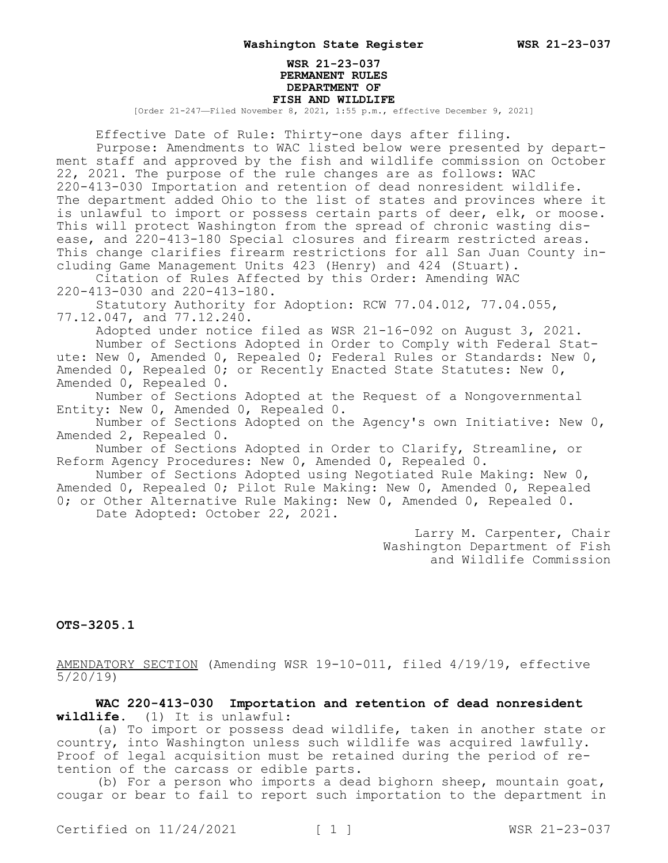### **WSR 21-23-037 PERMANENT RULES DEPARTMENT OF FISH AND WILDLIFE** [Order 21-247—Filed November 8, 2021, 1:55 p.m., effective December 9, 2021]

Effective Date of Rule: Thirty-one days after filing.

Purpose: Amendments to WAC listed below were presented by department staff and approved by the fish and wildlife commission on October 22, 2021. The purpose of the rule changes are as follows: WAC 220-413-030 Importation and retention of dead nonresident wildlife. The department added Ohio to the list of states and provinces where it is unlawful to import or possess certain parts of deer, elk, or moose. This will protect Washington from the spread of chronic wasting disease, and 220-413-180 Special closures and firearm restricted areas. This change clarifies firearm restrictions for all San Juan County including Game Management Units 423 (Henry) and 424 (Stuart).

Citation of Rules Affected by this Order: Amending WAC 220-413-030 and 220-413-180.

Statutory Authority for Adoption: RCW 77.04.012, 77.04.055, 77.12.047, and 77.12.240.

Adopted under notice filed as WSR 21-16-092 on August 3, 2021. Number of Sections Adopted in Order to Comply with Federal Statute: New 0, Amended 0, Repealed 0; Federal Rules or Standards: New 0,

Amended 0, Repealed 0; or Recently Enacted State Statutes: New 0, Amended 0, Repealed 0.

Number of Sections Adopted at the Request of a Nongovernmental Entity: New 0, Amended 0, Repealed 0.

Number of Sections Adopted on the Agency's own Initiative: New 0, Amended 2, Repealed 0.

Number of Sections Adopted in Order to Clarify, Streamline, or Reform Agency Procedures: New 0, Amended 0, Repealed 0.

Number of Sections Adopted using Negotiated Rule Making: New 0, Amended 0, Repealed 0; Pilot Rule Making: New 0, Amended 0, Repealed 0; or Other Alternative Rule Making: New 0, Amended 0, Repealed 0.

Date Adopted: October 22, 2021.

Larry M. Carpenter, Chair Washington Department of Fish and Wildlife Commission

# **OTS-3205.1**

AMENDATORY SECTION (Amending WSR 19-10-011, filed 4/19/19, effective 5/20/19)

**WAC 220-413-030 Importation and retention of dead nonresident wildlife.** (1) It is unlawful:

(a) To import or possess dead wildlife, taken in another state or country, into Washington unless such wildlife was acquired lawfully. Proof of legal acquisition must be retained during the period of retention of the carcass or edible parts.

(b) For a person who imports a dead bighorn sheep, mountain goat, cougar or bear to fail to report such importation to the department in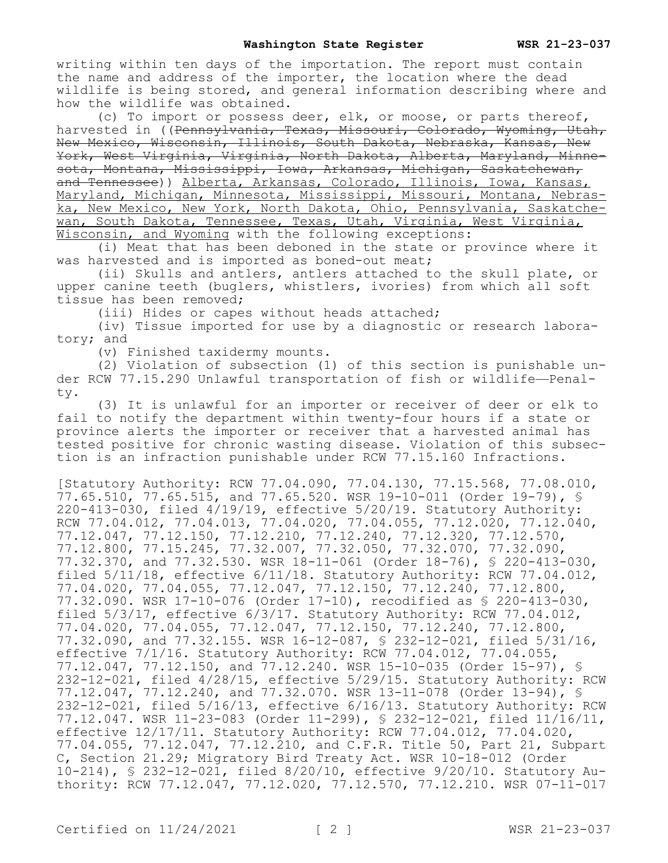writing within ten days of the importation. The report must contain the name and address of the importer, the location where the dead wildlife is being stored, and general information describing where and how the wildlife was obtained.

(c) To import or possess deer, elk, or moose, or parts thereof, harvested in ((Pennsylvania, Texas, Missouri, Colorado, Wyoming, Utah, New Mexico, Wisconsin, Illinois, South Dakota, Nebraska, Kansas, New York, West Virginia, Virginia, North Dakota, Alberta, Maryland, Minnesota, Montana, Mississippi, Iowa, Arkansas, Michigan, Saskatchewan, and Tennessee)) Alberta, Arkansas, Colorado, Illinois, Iowa, Kansas, Maryland, Michigan, Minnesota, Mississippi, Missouri, Montana, Nebraska, New Mexico, New York, North Dakota, Ohio, Pennsylvania, Saskatchewan, South Dakota, Tennessee, Texas, Utah, Virginia, West Virginia, Wisconsin, and Wyoming with the following exceptions:

(i) Meat that has been deboned in the state or province where it was harvested and is imported as boned-out meat;

(ii) Skulls and antlers, antlers attached to the skull plate, or upper canine teeth (buglers, whistlers, ivories) from which all soft tissue has been removed;

(iii) Hides or capes without heads attached;

(iv) Tissue imported for use by a diagnostic or research laboratory; and

(v) Finished taxidermy mounts.

(2) Violation of subsection (1) of this section is punishable under RCW 77.15.290 Unlawful transportation of fish or wildlife—Penalty.

(3) It is unlawful for an importer or receiver of deer or elk to fail to notify the department within twenty-four hours if a state or province alerts the importer or receiver that a harvested animal has tested positive for chronic wasting disease. Violation of this subsection is an infraction punishable under RCW 77.15.160 Infractions.

[Statutory Authority: RCW 77.04.090, 77.04.130, 77.15.568, 77.08.010, 77.65.510, 77.65.515, and 77.65.520. WSR 19-10-011 (Order 19-79), § 220-413-030, filed 4/19/19, effective 5/20/19. Statutory Authority: RCW 77.04.012, 77.04.013, 77.04.020, 77.04.055, 77.12.020, 77.12.040, 77.12.047, 77.12.150, 77.12.210, 77.12.240, 77.12.320, 77.12.570, 77.12.800, 77.15.245, 77.32.007, 77.32.050, 77.32.070, 77.32.090, 77.32.370, and 77.32.530. WSR 18-11-061 (Order 18-76), § 220-413-030, filed 5/11/18, effective 6/11/18. Statutory Authority: RCW 77.04.012, 77.04.020, 77.04.055, 77.12.047, 77.12.150, 77.12.240, 77.12.800, 77.32.090. WSR 17-10-076 (Order 17-10), recodified as § 220-413-030, filed 5/3/17, effective 6/3/17. Statutory Authority: RCW 77.04.012, 77.04.020, 77.04.055, 77.12.047, 77.12.150, 77.12.240, 77.12.800, 77.32.090, and 77.32.155. WSR 16-12-087, § 232-12-021, filed 5/31/16, effective 7/1/16. Statutory Authority: RCW 77.04.012, 77.04.055, 77.12.047, 77.12.150, and 77.12.240. WSR 15-10-035 (Order 15-97), § 232-12-021, filed 4/28/15, effective 5/29/15. Statutory Authority: RCW 77.12.047, 77.12.240, and 77.32.070. WSR 13-11-078 (Order 13-94), § 232-12-021, filed 5/16/13, effective 6/16/13. Statutory Authority: RCW 77.12.047. WSR 11-23-083 (Order 11-299), § 232-12-021, filed 11/16/11, effective 12/17/11. Statutory Authority: RCW 77.04.012, 77.04.020, 77.04.055, 77.12.047, 77.12.210, and C.F.R. Title 50, Part 21, Subpart C, Section 21.29; Migratory Bird Treaty Act. WSR 10-18-012 (Order 10-214), § 232-12-021, filed 8/20/10, effective 9/20/10. Statutory Authority: RCW 77.12.047, 77.12.020, 77.12.570, 77.12.210. WSR 07-11-017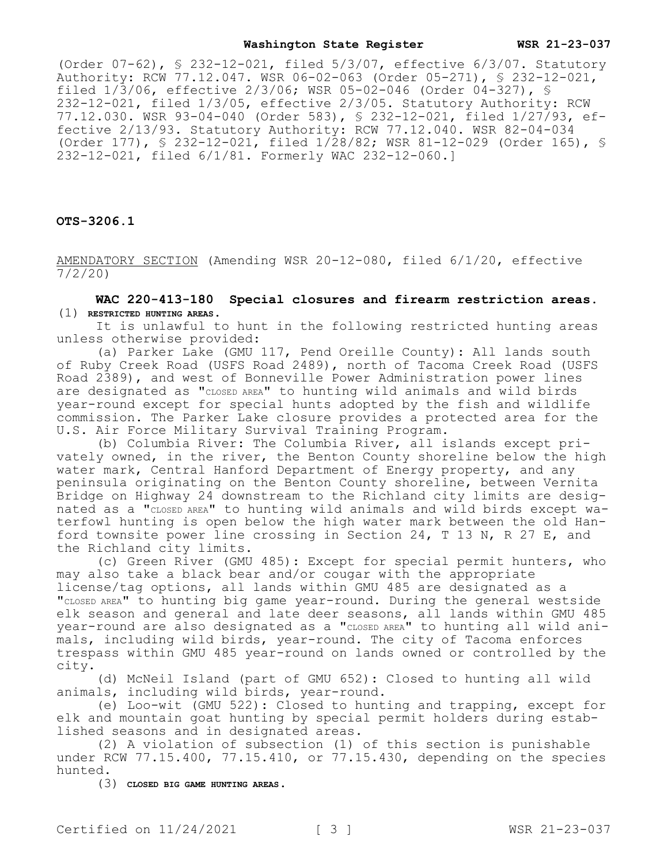### **Washington State Register WSR 21-23-037**

(Order 07-62), § 232-12-021, filed 5/3/07, effective 6/3/07. Statutory Authority: RCW 77.12.047. WSR 06-02-063 (Order 05-271), § 232-12-021, filed  $1/\overline{3}/06$ , effective  $2/3/06$ ; WSR 05-02-046 (Order 04-327), § 232-12-021, filed 1/3/05, effective 2/3/05. Statutory Authority: RCW 77.12.030. WSR 93-04-040 (Order 583), § 232-12-021, filed 1/27/93, effective 2/13/93. Statutory Authority: RCW 77.12.040. WSR 82-04-034 (Order 177), § 232-12-021, filed 1/28/82; WSR 81-12-029 (Order 165), § 232-12-021, filed 6/1/81. Formerly WAC 232-12-060.]

**OTS-3206.1**

AMENDATORY SECTION (Amending WSR 20-12-080, filed 6/1/20, effective 7/2/20)

**WAC 220-413-180 Special closures and firearm restriction areas.**  (1) **RESTRICTED HUNTING AREAS.**

It is unlawful to hunt in the following restricted hunting areas unless otherwise provided:

(a) Parker Lake (GMU 117, Pend Oreille County): All lands south of Ruby Creek Road (USFS Road 2489), north of Tacoma Creek Road (USFS Road 2389), and west of Bonneville Power Administration power lines are designated as "CLOSED AREA" to hunting wild animals and wild birds year-round except for special hunts adopted by the fish and wildlife commission. The Parker Lake closure provides a protected area for the U.S. Air Force Military Survival Training Program.

(b) Columbia River: The Columbia River, all islands except privately owned, in the river, the Benton County shoreline below the high water mark, Central Hanford Department of Energy property, and any peninsula originating on the Benton County shoreline, between Vernita Bridge on Highway 24 downstream to the Richland city limits are designated as a "CLOSED AREA" to hunting wild animals and wild birds except waterfowl hunting is open below the high water mark between the old Hanford townsite power line crossing in Section 24, T 13 N, R 27 E, and the Richland city limits.

(c) Green River (GMU 485): Except for special permit hunters, who may also take a black bear and/or cougar with the appropriate license/tag options, all lands within GMU 485 are designated as a "CLOSED AREA" to hunting big game year-round. During the general westside elk season and general and late deer seasons, all lands within GMU 485 year-round are also designated as a "CLOSED AREA" to hunting all wild animals, including wild birds, year-round. The city of Tacoma enforces trespass within GMU 485 year-round on lands owned or controlled by the city.

(d) McNeil Island (part of GMU 652): Closed to hunting all wild animals, including wild birds, year-round.

(e) Loo-wit (GMU 522): Closed to hunting and trapping, except for elk and mountain goat hunting by special permit holders during established seasons and in designated areas.

(2) A violation of subsection (1) of this section is punishable under RCW 77.15.400, 77.15.410, or 77.15.430, depending on the species hunted.

(3) **CLOSED BIG GAME HUNTING AREAS.**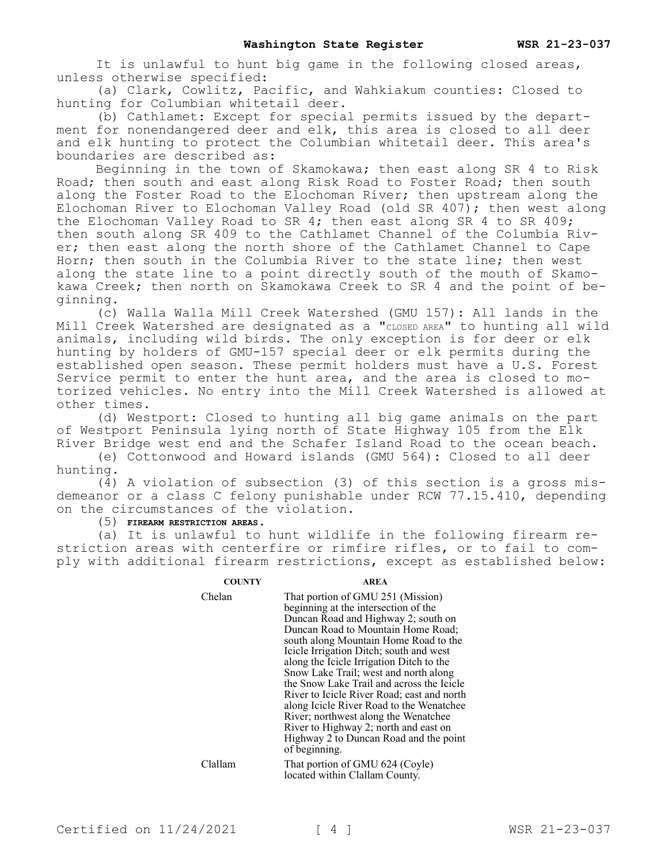It is unlawful to hunt big game in the following closed areas, unless otherwise specified:

(a) Clark, Cowlitz, Pacific, and Wahkiakum counties: Closed to hunting for Columbian whitetail deer.

(b) Cathlamet: Except for special permits issued by the department for nonendangered deer and elk, this area is closed to all deer and elk hunting to protect the Columbian whitetail deer. This area's boundaries are described as:

Beginning in the town of Skamokawa; then east along SR 4 to Risk Road; then south and east along Risk Road to Foster Road; then south along the Foster Road to the Elochoman River; then upstream along the Elochoman River to Elochoman Valley Road (old SR  $407$ ); then west along the Elochoman Valley Road to SR 4; then east along SR 4 to SR 409; then south along SR 409 to the Cathlamet Channel of the Columbia River; then east along the north shore of the Cathlamet Channel to Cape Horn; then south in the Columbia River to the state line; then west along the state line to a point directly south of the mouth of Skamokawa Creek; then north on Skamokawa Creek to SR 4 and the point of beginning.

(c) Walla Walla Mill Creek Watershed (GMU 157): All lands in the Mill Creek Watershed are designated as a "CLOSED AREA" to hunting all wild animals, including wild birds. The only exception is for deer or elk hunting by holders of GMU-157 special deer or elk permits during the established open season. These permit holders must have a U.S. Forest Service permit to enter the hunt area, and the area is closed to motorized vehicles. No entry into the Mill Creek Watershed is allowed at other times.

(d) Westport: Closed to hunting all big game animals on the part of Westport Peninsula lying north of State Highway 105 from the Elk River Bridge west end and the Schafer Island Road to the ocean beach.

(e) Cottonwood and Howard islands (GMU 564): Closed to all deer hunting.

(4) A violation of subsection (3) of this section is a gross misdemeanor or a class C felony punishable under RCW 77.15.410, depending on the circumstances of the violation.

(5) **FIREARM RESTRICTION AREAS.**

(a) It is unlawful to hunt wildlife in the following firearm restriction areas with centerfire or rimfire rifles, or to fail to comply with additional firearm restrictions, except as established below:

## **COUNTY AREA**

Chelan That portion of GMU 251 (Mission) beginning at the intersection of the Duncan Road and Highway 2; south on Duncan Road to Mountain Home Road; south along Mountain Home Road to the Icicle Irrigation Ditch; south and west along the Icicle Irrigation Ditch to the Snow Lake Trail; west and north along the Snow Lake Trail and across the Icicle River to Icicle River Road; east and north along Icicle River Road to the Wenatchee River; northwest along the Wenatchee River to Highway 2; north and east on Highway 2 to Duncan Road and the point of beginning.

Clallam That portion of GMU 624 (Coyle) located within Clallam County.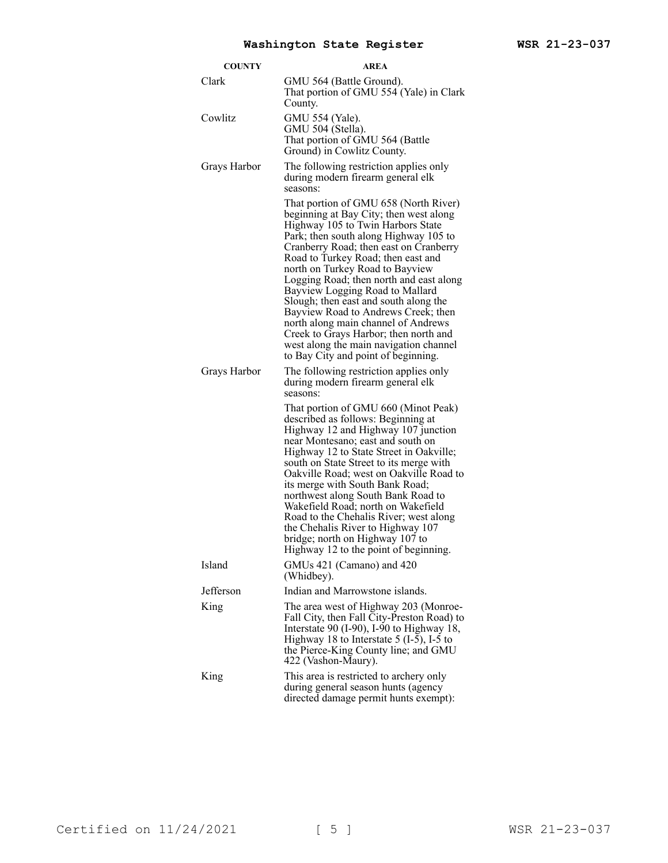| <b>COUNTY</b> | <b>AREA</b>                                                                                                                                                                                                                                                                                                                                                                                                                                                                                                                                                                                                     |
|---------------|-----------------------------------------------------------------------------------------------------------------------------------------------------------------------------------------------------------------------------------------------------------------------------------------------------------------------------------------------------------------------------------------------------------------------------------------------------------------------------------------------------------------------------------------------------------------------------------------------------------------|
| Clark         | GMU 564 (Battle Ground).<br>That portion of GMU 554 (Yale) in Clark<br>County.                                                                                                                                                                                                                                                                                                                                                                                                                                                                                                                                  |
| Cowlitz       | GMU 554 (Yale).<br>GMU 504 (Stella).<br>That portion of GMU 564 (Battle<br>Ground) in Cowlitz County.                                                                                                                                                                                                                                                                                                                                                                                                                                                                                                           |
| Grays Harbor  | The following restriction applies only<br>during modern firearm general elk<br>seasons:                                                                                                                                                                                                                                                                                                                                                                                                                                                                                                                         |
|               | That portion of GMU 658 (North River)<br>beginning at Bay City; then west along<br>Highway 105 to Twin Harbors State<br>Park; then south along Highway 105 to<br>Cranberry Road; then east on Cranberry<br>Road to Turkey Road; then east and<br>north on Turkey Road to Bayview<br>Logging Road; then north and east along<br>Bayview Logging Road to Mallard<br>Slough; then east and south along the<br>Bayview Road to Andrews Creek; then<br>north along main channel of Andrews<br>Creek to Grays Harbor; then north and<br>west along the main navigation channel<br>to Bay City and point of beginning. |
| Grays Harbor  | The following restriction applies only<br>during modern firearm general elk<br>seasons:                                                                                                                                                                                                                                                                                                                                                                                                                                                                                                                         |
|               | That portion of GMU 660 (Minot Peak)<br>described as follows: Beginning at<br>Highway 12 and Highway 107 junction<br>near Montesano; east and south on<br>Highway 12 to State Street in Oakville;<br>south on State Street to its merge with<br>Oakville Road; west on Oakville Road to<br>its merge with South Bank Road;<br>northwest along South Bank Road to<br>Wakefield Road; north on Wakefield<br>Road to the Chehalis River; west along<br>the Chehalis River to Highway 107<br>bridge; north on Highway 107 to<br>Highway 12 to the point of beginning.                                               |
| Island        | GMUs 421 (Camano) and 420<br>(Whidbey).                                                                                                                                                                                                                                                                                                                                                                                                                                                                                                                                                                         |
| Jefferson     | Indian and Marrowstone islands.                                                                                                                                                                                                                                                                                                                                                                                                                                                                                                                                                                                 |
| King          | The area west of Highway 203 (Monroe-<br>Fall City, then Fall City-Preston Road) to<br>Interstate 90 (I-90), I-90 to Highway 18,<br>Highway 18 to Interstate $5$ (I-5), I-5 to<br>the Pierce-King County line; and GMU<br>422 (Vashon-Maury).                                                                                                                                                                                                                                                                                                                                                                   |
| King          | This area is restricted to archery only<br>during general season hunts (agency<br>directed damage permit hunts exempt):                                                                                                                                                                                                                                                                                                                                                                                                                                                                                         |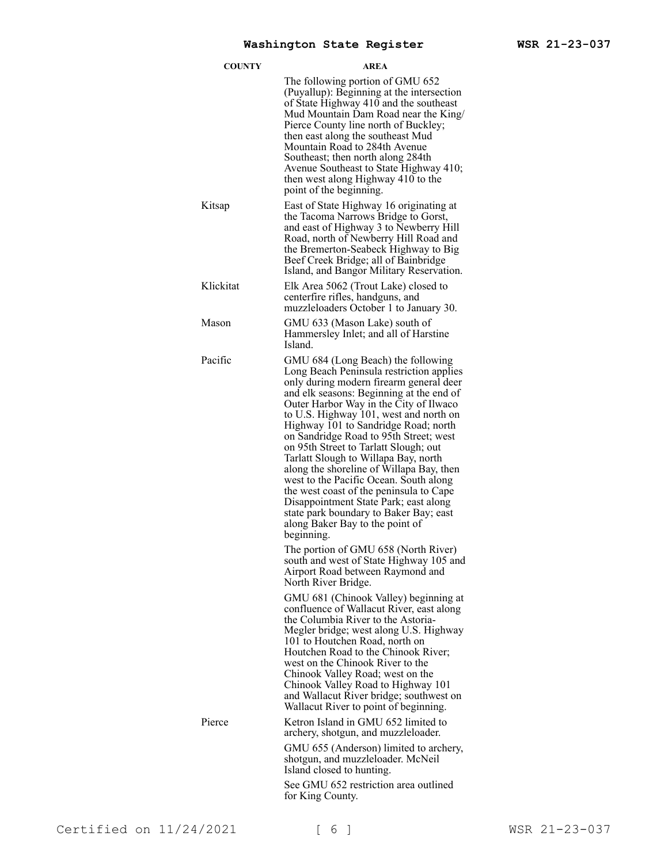| <b>COUNTY</b> | AREA                                                                                                                                                                                                                                                                                                                                                                                                                                                                                                                                                                                                                                                                                                                                                                                                                                            |
|---------------|-------------------------------------------------------------------------------------------------------------------------------------------------------------------------------------------------------------------------------------------------------------------------------------------------------------------------------------------------------------------------------------------------------------------------------------------------------------------------------------------------------------------------------------------------------------------------------------------------------------------------------------------------------------------------------------------------------------------------------------------------------------------------------------------------------------------------------------------------|
|               | The following portion of GMU 652<br>(Puyallup): Beginning at the intersection<br>of State Highway 410 and the southeast<br>Mud Mountain Dam Road near the King/<br>Pierce County line north of Buckley;<br>then east along the southeast Mud<br>Mountain Road to 284th Avenue<br>Southeast; then north along 284th<br>Avenue Southeast to State Highway 410;<br>then west along Highway 410 to the<br>point of the beginning.                                                                                                                                                                                                                                                                                                                                                                                                                   |
| Kitsap        | East of State Highway 16 originating at<br>the Tacoma Narrows Bridge to Gorst,<br>and east of Highway 3 to Newberry Hill<br>Road, north of Newberry Hill Road and<br>the Bremerton-Seabeck Highway to Big<br>Beef Creek Bridge; all of Bainbridge<br>Island, and Bangor Military Reservation.                                                                                                                                                                                                                                                                                                                                                                                                                                                                                                                                                   |
| Klickitat     | Elk Area 5062 (Trout Lake) closed to<br>centerfire rifles, handguns, and<br>muzzleloaders October 1 to January 30.                                                                                                                                                                                                                                                                                                                                                                                                                                                                                                                                                                                                                                                                                                                              |
| Mason         | GMU 633 (Mason Lake) south of<br>Hammersley Inlet; and all of Harstine<br>Island.                                                                                                                                                                                                                                                                                                                                                                                                                                                                                                                                                                                                                                                                                                                                                               |
| Pacific       | GMU 684 (Long Beach) the following<br>Long Beach Peninsula restriction applies<br>only during modern firearm general deer<br>and elk seasons: Beginning at the end of<br>Outer Harbor Way in the City of Ilwaco<br>to U.S. Highway 101, west and north on<br>Highway 101 to Sandridge Road; north<br>on Sandridge Road to 95th Street; west<br>on 95th Street to Tarlatt Slough; out<br>Tarlatt Slough to Willapa Bay, north<br>along the shoreline of Willapa Bay, then<br>west to the Pacific Ocean. South along<br>the west coast of the peninsula to Cape<br>Disappointment State Park; east along<br>state park boundary to Baker Bay; east<br>along Baker Bay to the point of<br>beginning.<br>The portion of GMU 658 (North River)<br>south and west of State Highway 105 and<br>Airport Road between Raymond and<br>North River Bridge. |
|               | GMU 681 (Chinook Valley) beginning at<br>confluence of Wallacut River, east along<br>the Columbia River to the Astoria-<br>Megler bridge; west along U.S. Highway<br>101 to Houtchen Road, north on<br>Houtchen Road to the Chinook River;<br>west on the Chinook River to the<br>Chinook Valley Road; west on the<br>Chinook Valley Road to Highway 101<br>and Wallacut River bridge; southwest on<br>Wallacut River to point of beginning.                                                                                                                                                                                                                                                                                                                                                                                                    |
| Pierce        | Ketron Island in GMU 652 limited to<br>archery, shotgun, and muzzleloader.<br>GMU 655 (Anderson) limited to archery,<br>shotgun, and muzzleloader. McNeil<br>Island closed to hunting.<br>See GMU 652 restriction area outlined                                                                                                                                                                                                                                                                                                                                                                                                                                                                                                                                                                                                                 |
|               | for King County.                                                                                                                                                                                                                                                                                                                                                                                                                                                                                                                                                                                                                                                                                                                                                                                                                                |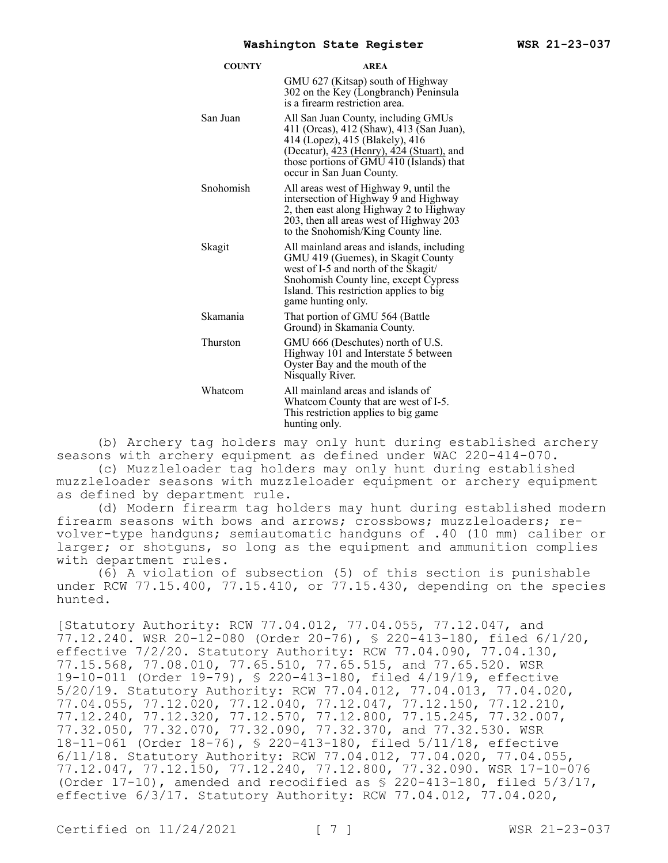| <b>COUNTY</b> | <b>AREA</b>                                                                                                                                                                                                                              |
|---------------|------------------------------------------------------------------------------------------------------------------------------------------------------------------------------------------------------------------------------------------|
|               | GMU 627 (Kitsap) south of Highway<br>302 on the Key (Longbranch) Peninsula<br>is a firearm restriction area.                                                                                                                             |
| San Juan      | All San Juan County, including GMUs<br>411 (Orcas), 412 (Shaw), 413 (San Juan),<br>414 (Lopez), 415 (Blakely), 416<br>(Decatur), 423 (Henry), 424 (Stuart), and<br>those portions of GMU 410 (Islands) that<br>occur in San Juan County. |
| Snohomish     | All areas west of Highway 9, until the<br>intersection of Highway 9 and Highway<br>2, then east along Highway 2 to Highway<br>203, then all areas west of Highway 203<br>to the Snohomish/King County line.                              |
| Skagit        | All mainland areas and islands, including<br>GMU 419 (Guemes), in Skagit County<br>west of I-5 and north of the Skagit/<br>Snohomish County line, except Cypress<br>Island. This restriction applies to big<br>game hunting only.        |
| Skamania      | That portion of GMU 564 (Battle<br>Ground) in Skamania County.                                                                                                                                                                           |
| Thurston      | GMU 666 (Deschutes) north of U.S.<br>Highway 101 and Interstate 5 between<br>Oyster Bay and the mouth of the<br>Nisqually River.                                                                                                         |
| Whatcom       | All mainland areas and islands of<br>Whatcom County that are west of I-5.<br>This restriction applies to big game<br>hunting only.                                                                                                       |

(b) Archery tag holders may only hunt during established archery seasons with archery equipment as defined under WAC 220-414-070.

(c) Muzzleloader tag holders may only hunt during established muzzleloader seasons with muzzleloader equipment or archery equipment as defined by department rule.

(d) Modern firearm tag holders may hunt during established modern firearm seasons with bows and arrows; crossbows; muzzleloaders; revolver-type handguns; semiautomatic handguns of .40 (10 mm) caliber or larger; or shotguns, so long as the equipment and ammunition complies with department rules.

(6) A violation of subsection (5) of this section is punishable under RCW 77.15.400, 77.15.410, or 77.15.430, depending on the species hunted.

[Statutory Authority: RCW 77.04.012, 77.04.055, 77.12.047, and 77.12.240. WSR 20-12-080 (Order 20-76), § 220-413-180, filed 6/1/20, effective 7/2/20. Statutory Authority: RCW 77.04.090, 77.04.130, 77.15.568, 77.08.010, 77.65.510, 77.65.515, and 77.65.520. WSR 19-10-011 (Order 19-79), § 220-413-180, filed 4/19/19, effective 5/20/19. Statutory Authority: RCW 77.04.012, 77.04.013, 77.04.020, 77.04.055, 77.12.020, 77.12.040, 77.12.047, 77.12.150, 77.12.210, 77.12.240, 77.12.320, 77.12.570, 77.12.800, 77.15.245, 77.32.007, 77.32.050, 77.32.070, 77.32.090, 77.32.370, and 77.32.530. WSR 18-11-061 (Order 18-76), § 220-413-180, filed 5/11/18, effective 6/11/18. Statutory Authority: RCW 77.04.012, 77.04.020, 77.04.055, 77.12.047, 77.12.150, 77.12.240, 77.12.800, 77.32.090. WSR 17-10-076 (Order 17-10), amended and recodified as § 220-413-180, filed 5/3/17, effective 6/3/17. Statutory Authority: RCW 77.04.012, 77.04.020,

Certified on  $11/24/2021$  [ 7 ] WSR 21-23-037